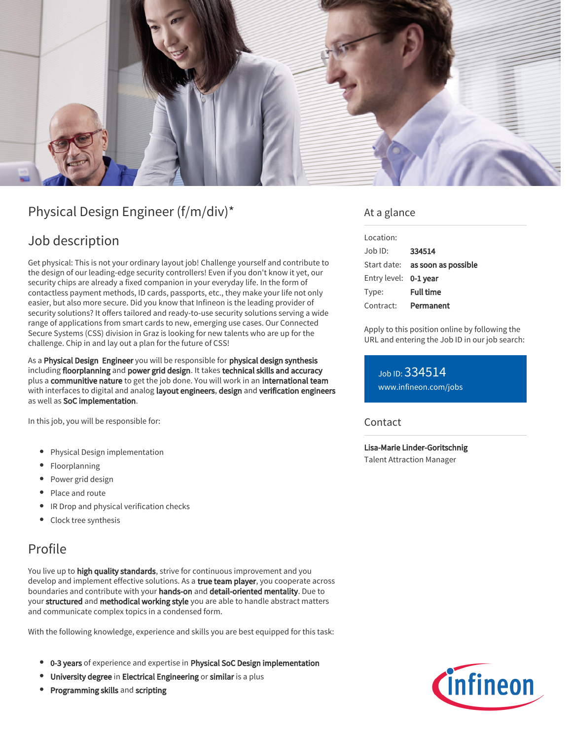

# Physical Design Engineer (f/m/div)\*

## Job description

Get physical: This is not your ordinary layout job! Challenge yourself and contribute to the design of our leading-edge security controllers! Even if you don't know it yet, our security chips are already a fixed companion in your everyday life. In the form of contactless payment methods, ID cards, passports, etc., they make your life not only easier, but also more secure. Did you know that Infineon is the leading provider of security solutions? It offers tailored and ready-to-use security solutions serving a wide range of applications from smart cards to new, emerging use cases. Our Connected Secure Systems (CSS) division in Graz is looking for new talents who are up for the challenge. Chip in and lay out a plan for the future of CSS!

As a Physical Design Engineer you will be responsible for physical design synthesis including floorplanning and power grid design. It takes technical skills and accuracy plus a communitive nature to get the job done. You will work in an international team with interfaces to digital and analog layout engineers, design and verification engineers as well as SoC implementation.

In this job, you will be responsible for:

- Physical Design implementation
- Floorplanning
- Power grid design
- Place and route
- **•** IR Drop and physical verification checks
- Clock tree synthesis

## Profile

You live up to high quality standards, strive for continuous improvement and you develop and implement effective solutions. As a true team player, you cooperate across boundaries and contribute with your hands-on and detail-oriented mentality. Due to your structured and methodical working style you are able to handle abstract matters and communicate complex topics in a condensed form.

With the following knowledge, experience and skills you are best equipped for this task:

- <sup>o</sup> 0-3 years of experience and expertise in Physical SoC Design implementation
- **•** University degree in Electrical Engineering or similar is a plus
- Programming skills and scripting

### At a glance

| Location:             |                                        |
|-----------------------|----------------------------------------|
| Job ID:               | 334514                                 |
|                       | Start date: <b>as soon as possible</b> |
| Entry level: 0-1 vear |                                        |
| Type:                 | Full time                              |
| Contract:             | Permanent                              |

Apply to this position online by following the URL and entering the Job ID in our job search:

Job ID: 334514 [www.infineon.com/jobs](https://www.infineon.com/jobs)

### **Contact**

Lisa-Marie Linder-Goritschnig

Talent Attraction Manager